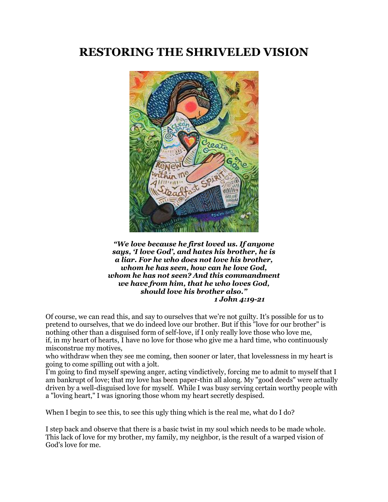# **RESTORING THE SHRIVELED VISION**



*"We love because he first loved us. If anyone says, 'I love God', and hates his brother, he is a liar. For he who does not love his brother, whom he has seen, how can he love God, whom he has not seen? And this commandment we have from him, that he who loves God, should love his brother also." 1 John 4:19-21*

Of course, we can read this, and say to ourselves that we're not guilty. It's possible for us to pretend to ourselves, that we do indeed love our brother. But if this "love for our brother" is nothing other than a disguised form of self-love, if I only really love those who love me, if, in my heart of hearts, I have no love for those who give me a hard time, who continuously misconstrue my motives,

who withdraw when they see me coming, then sooner or later, that lovelessness in my heart is going to come spilling out with a jolt.

I'm going to find myself spewing anger, acting vindictively, forcing me to admit to myself that I am bankrupt of love; that my love has been paper-thin all along. My "good deeds" were actually driven by a well-disguised love for myself. While I was busy serving certain worthy people with a "loving heart," I was ignoring those whom my heart secretly despised.

When I begin to see this, to see this ugly thing which is the real me, what do I do?

I step back and observe that there is a basic twist in my soul which needs to be made whole. This lack of love for my brother, my family, my neighbor, is the result of a warped vision of God's love for me.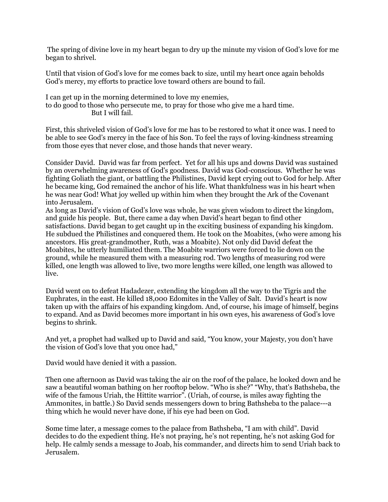The spring of divine love in my heart began to dry up the minute my vision of God's love for me began to shrivel.

Until that vision of God's love for me comes back to size, until my heart once again beholds God's mercy, my efforts to practice love toward others are bound to fail.

I can get up in the morning determined to love my enemies, to do good to those who persecute me, to pray for those who give me a hard time. But I will fail.

First, this shriveled vision of God's love for me has to be restored to what it once was. I need to be able to see God's mercy in the face of his Son. To feel the rays of loving-kindness streaming from those eyes that never close, and those hands that never weary.

Consider David. David was far from perfect. Yet for all his ups and downs David was sustained by an overwhelming awareness of God's goodness. David was God-conscious. Whether he was fighting Goliath the giant, or battling the Philistines, David kept crying out to God for help. After he became king, God remained the anchor of his life. What thankfulness was in his heart when he was near God! What joy welled up within him when they brought the Ark of the Covenant into Jerusalem.

As long as David's vision of God's love was whole, he was given wisdom to direct the kingdom, and guide his people. But, there came a day when David's heart began to find other satisfactions. David began to get caught up in the exciting business of expanding his kingdom. He subdued the Philistines and conquered them. He took on the Moabites, (who were among his ancestors. His great-grandmother, Ruth, was a Moabite). Not only did David defeat the Moabites, he utterly humiliated them. The Moabite warriors were forced to lie down on the ground, while he measured them with a measuring rod. Two lengths of measuring rod were killed, one length was allowed to live, two more lengths were killed, one length was allowed to live.

David went on to defeat Hadadezer, extending the kingdom all the way to the Tigris and the Euphrates, in the east. He killed 18,000 Edomites in the Valley of Salt. David's heart is now taken up with the affairs of his expanding kingdom. And, of course, his image of himself, begins to expand. And as David becomes more important in his own eyes, his awareness of God's love begins to shrink.

And yet, a prophet had walked up to David and said, "You know, your Majesty, you don't have the vision of God's love that you once had,"

David would have denied it with a passion.

Then one afternoon as David was taking the air on the roof of the palace, he looked down and he saw a beautiful woman bathing on her rooftop below. "Who is she?" "Why, that's Bathsheba, the wife of the famous Uriah, the Hittite warrior". (Uriah, of course, is miles away fighting the Ammonites, in battle.) So David sends messengers down to bring Bathsheba to the palace---a thing which he would never have done, if his eye had been on God.

Some time later, a message comes to the palace from Bathsheba, "I am with child". David decides to do the expedient thing. He's not praying, he's not repenting, he's not asking God for help. He calmly sends a message to Joab, his commander, and directs him to send Uriah back to Jerusalem.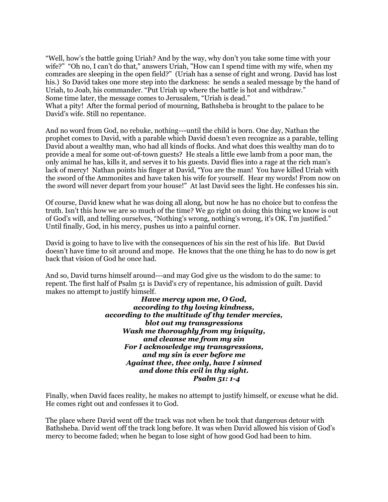"Well, how's the battle going Uriah? And by the way, why don't you take some time with your wife?" "Oh no, I can't do that," answers Uriah, "How can I spend time with my wife, when my comrades are sleeping in the open field?" (Uriah has a sense of right and wrong. David has lost his.) So David takes one more step into the darkness: he sends a sealed message by the hand of Uriah, to Joab, his commander. "Put Uriah up where the battle is hot and withdraw." Some time later, the message comes to Jerusalem, "Uriah is dead."

What a pity! After the formal period of mourning, Bathsheba is brought to the palace to be David's wife. Still no repentance.

And no word from God, no rebuke, nothing---until the child is born. One day, Nathan the prophet comes to David, with a parable which David doesn't even recognize as a parable, telling David about a wealthy man, who had all kinds of flocks. And what does this wealthy man do to provide a meal for some out-of-town guests? He steals a little ewe lamb from a poor man, the only animal he has, kills it, and serves it to his guests. David flies into a rage at the rich man's lack of mercy! Nathan points his finger at David, "You are the man! You have killed Uriah with the sword of the Ammonites and have taken his wife for yourself. Hear my words! From now on the sword will never depart from your house!" At last David sees the light. He confesses his sin.

Of course, David knew what he was doing all along, but now he has no choice but to confess the truth. Isn't this how we are so much of the time? We go right on doing this thing we know is out of God's will, and telling ourselves, "Nothing's wrong, nothing's wrong, it's OK. I'm justified." Until finally, God, in his mercy, pushes us into a painful corner.

David is going to have to live with the consequences of his sin the rest of his life. But David doesn't have time to sit around and mope. He knows that the one thing he has to do now is get back that vision of God he once had.

And so, David turns himself around---and may God give us the wisdom to do the same: to repent. The first half of Psalm 51 is David's cry of repentance, his admission of guilt. David makes no attempt to justify himself.

*Have mercy upon me, O God, according to thy loving kindness, according to the multitude of thy tender mercies, blot out my transgressions Wash me thoroughly from my iniquity, and cleanse me from my sin For I acknowledge my transgressions, and my sin is ever before me Against thee, thee only, have I sinned and done this evil in thy sight. Psalm 51: 1-4*

Finally, when David faces reality, he makes no attempt to justify himself, or excuse what he did. He comes right out and confesses it to God.

The place where David went off the track was not when he took that dangerous detour with Bathsheba. David went off the track long before. It was when David allowed his vision of God's mercy to become faded; when he began to lose sight of how good God had been to him.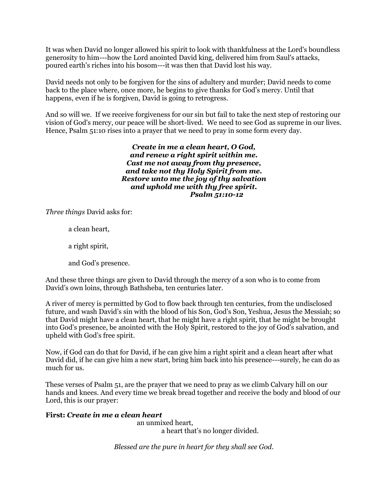It was when David no longer allowed his spirit to look with thankfulness at the Lord's boundless generosity to him---how the Lord anointed David king, delivered him from Saul's attacks, poured earth's riches into his bosom---it was then that David lost his way.

David needs not only to be forgiven for the sins of adultery and murder; David needs to come back to the place where, once more, he begins to give thanks for God's mercy. Until that happens, even if he is forgiven, David is going to retrogress.

And so will we. If we receive forgiveness for our sin but fail to take the next step of restoring our vision of God's mercy, our peace will be short-lived. We need to see God as supreme in our lives. Hence, Psalm 51:10 rises into a prayer that we need to pray in some form every day.

> *Create in me a clean heart, O God, and renew a right spirit within me. Cast me not away from thy presence, and take not thy Holy Spirit from me. Restore unto me the joy of thy salvation and uphold me with thy free spirit. Psalm 51:10-12*

*Three things* David asks for:

a clean heart,

a right spirit,

and God's presence.

And these three things are given to David through the mercy of a son who is to come from David's own loins, through Bathsheba, ten centuries later.

A river of mercy is permitted by God to flow back through ten centuries, from the undisclosed future, and wash David's sin with the blood of his Son, God's Son, Yeshua, Jesus the Messiah; so that David might have a clean heart, that he might have a right spirit, that he might be brought into God's presence, be anointed with the Holy Spirit, restored to the joy of God's salvation, and upheld with God's free spirit.

Now, if God can do that for David, if he can give him a right spirit and a clean heart after what David did, if he can give him a new start, bring him back into his presence---surely, he can do as much for us.

These verses of Psalm 51, are the prayer that we need to pray as we climb Calvary hill on our hands and knees. And every time we break bread together and receive the body and blood of our Lord, this is our prayer:

# **First:** *Create in me a clean heart*

an unmixed heart, a heart that's no longer divided.

*Blessed are the pure in heart for they shall see God.*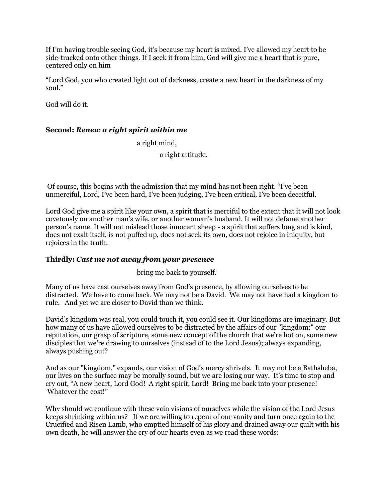If I'm having trouble seeing God, it's because my heart is mixed. I've allowed my heart to be side-tracked onto other things. If I seek it from him, God will give me a heart that is pure, centered only on him

"Lord God, you who created light out of darkness, create a new heart in the darkness of my soul."

God will do it.

## **Second:** *Renew a right spirit within me*

a right mind,

a right attitude.

Of course, this begins with the admission that my mind has not been right. "I've been unmerciful, Lord, I've been hard, I've been judging, I've been critical, I've been deceitful.

Lord God give me a spirit like your own, a spirit that is merciful to the extent that it will not look covetously on another man's wife, or another woman's husband. It will not defame another person's name. It will not mislead those innocent sheep - a spirit that suffers long and is kind, does not exalt itself, is not puffed up, does not seek its own, does not rejoice in iniquity, but rejoices in the truth.

#### **Thirdly:** *Cast me not away from your presence*

bring me back to yourself.

Many of us have cast ourselves away from God's presence, by allowing ourselves to be distracted. We have to come back. We may not be a David. We may not have had a kingdom to rule. And yet we are closer to David than we think.

David's kingdom was real, you could touch it, you could see it. Our kingdoms are imaginary. But how many of us have allowed ourselves to be distracted by the affairs of our "kingdom:" our reputation, our grasp of scripture, some new concept of the church that we're hot on, some new disciples that we're drawing to ourselves (instead of to the Lord Jesus); always expanding, always pushing out?

And as our "kingdom," expands, our vision of God's mercy shrivels. It may not be a Bathsheba, our lives on the surface may be morally sound, but we are losing our way. It's time to stop and cry out, "A new heart, Lord God! A right spirit, Lord! Bring me back into your presence! Whatever the cost!"

Why should we continue with these vain visions of ourselves while the vision of the Lord Jesus keeps shrinking within us? If we are willing to repent of our vanity and turn once again to the Crucified and Risen Lamb, who emptied himself of his glory and drained away our guilt with his own death, he will answer the cry of our hearts even as we read these words: